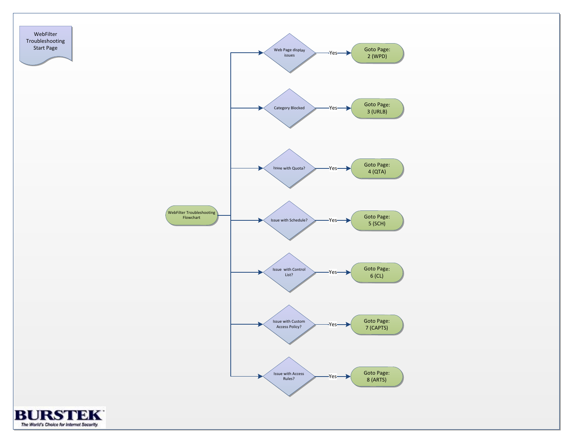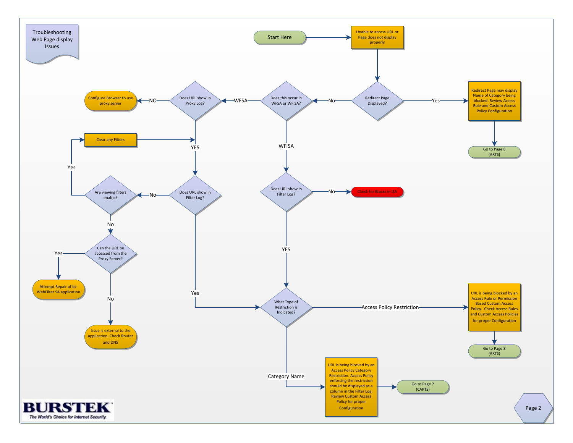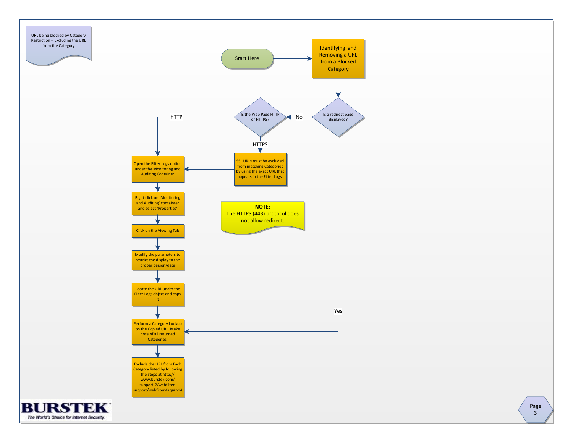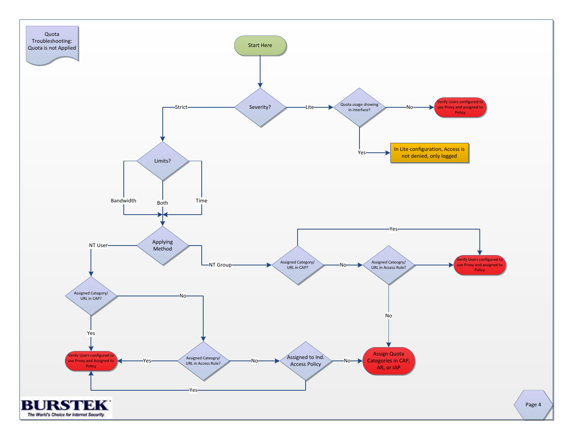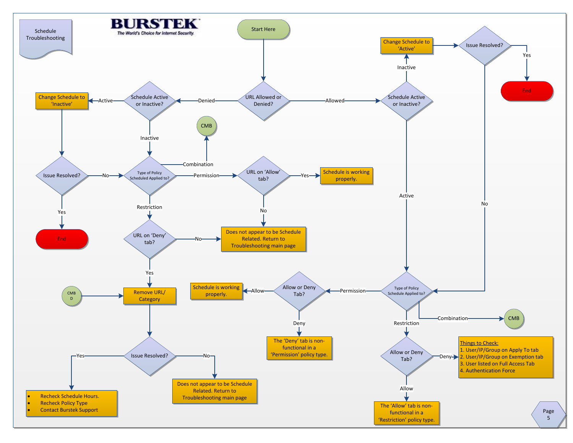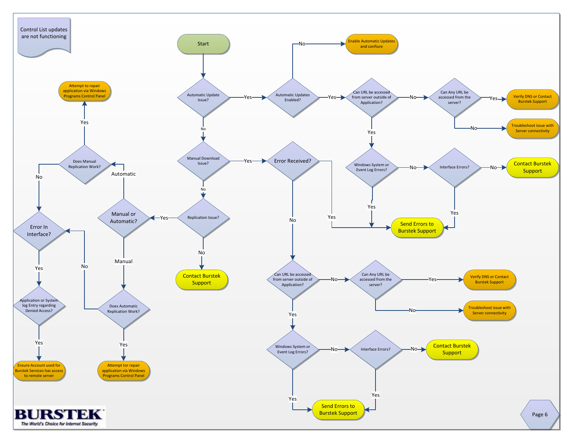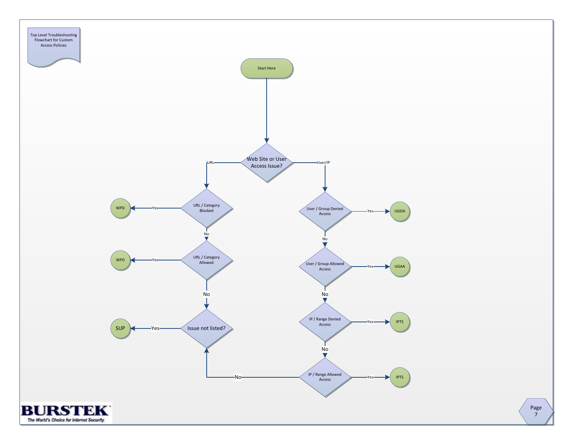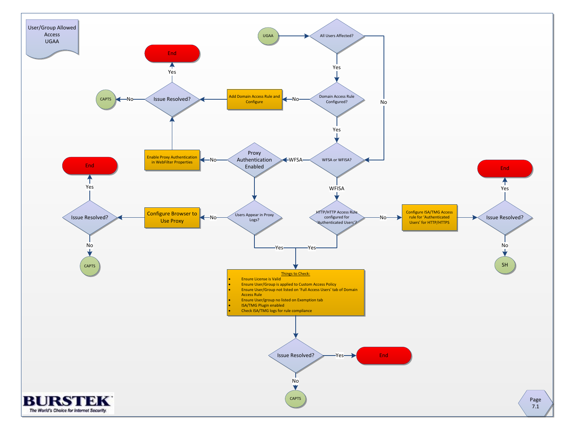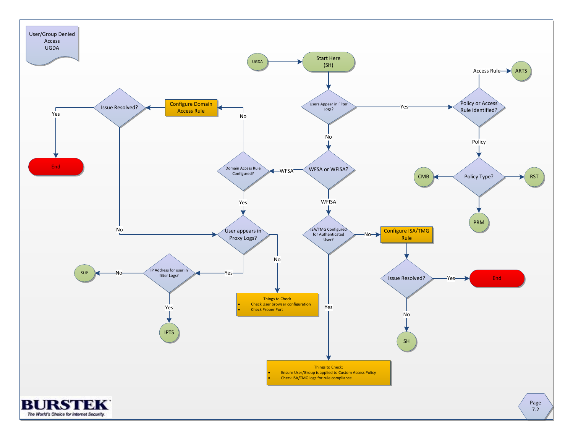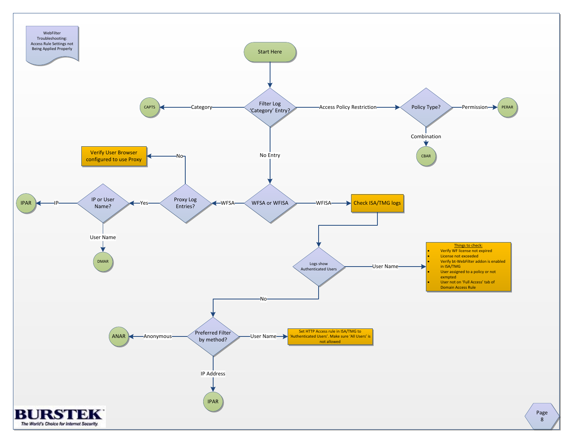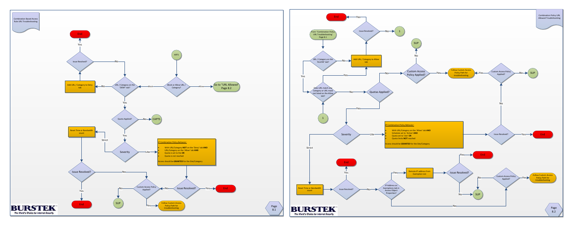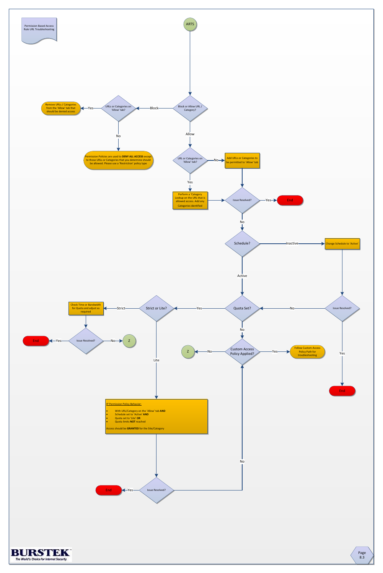



Page 8.3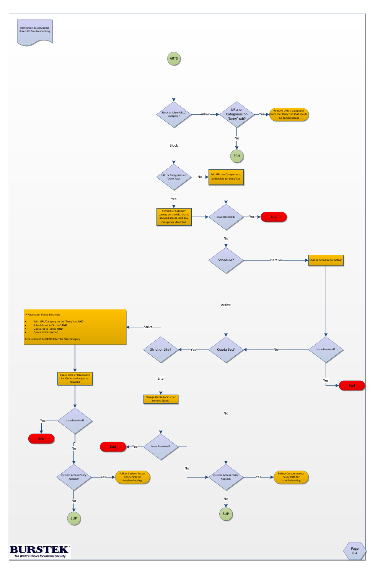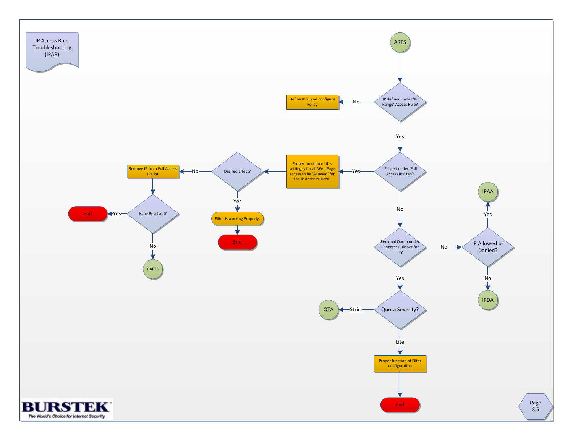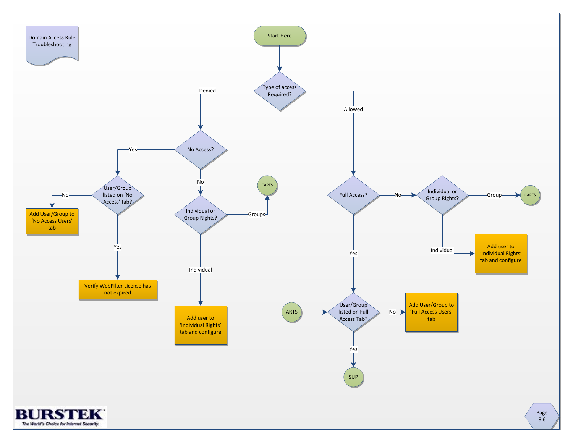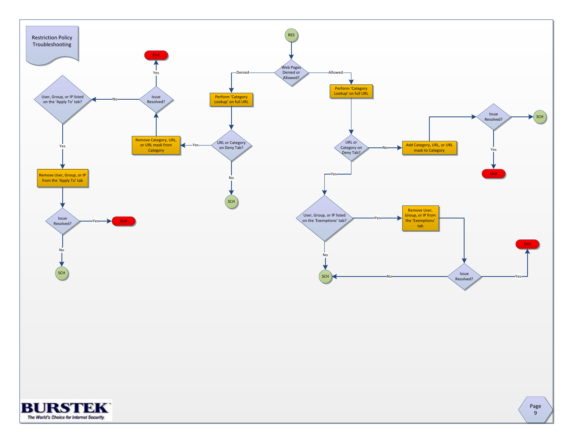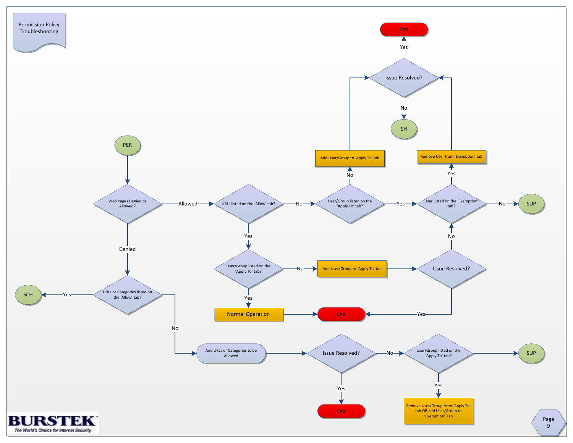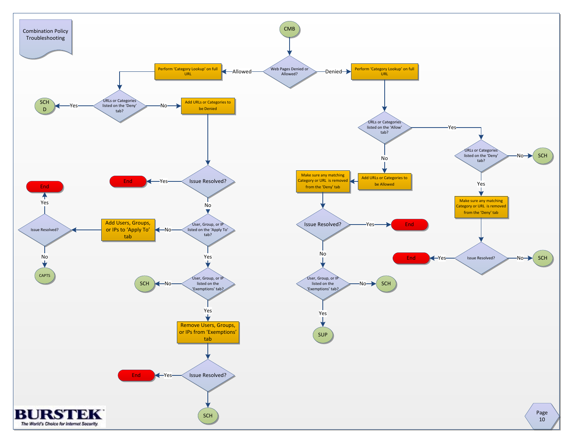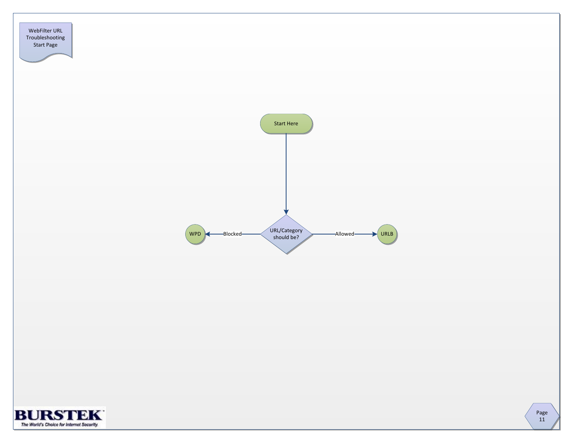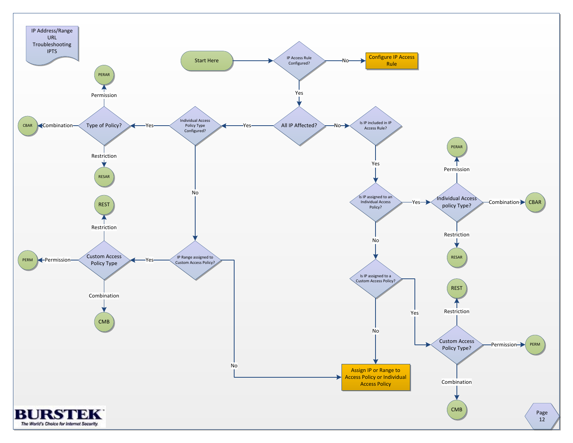